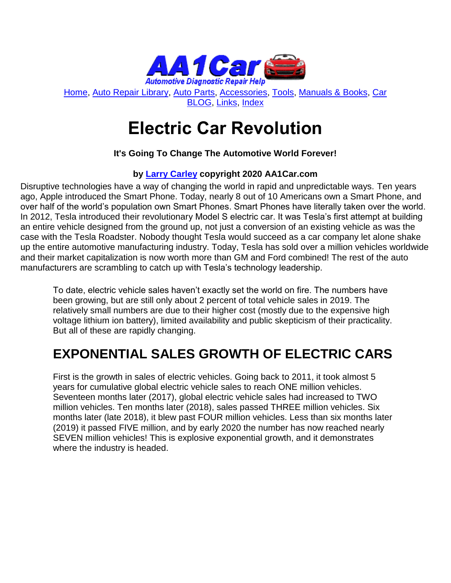

[Home,](http://www.aa1car.com/) [Auto Repair Library,](http://www.aa1car.com/library.htm) [Auto Parts,](http://www.aa1car.com/links_parts.htm) [Accessories,](http://www.aa1car.com/links_accessories.htm) [Tools,](http://www.aa1car.com/links_tools.htm) [Manuals & Books,](http://www.aa1car.com/links_books.htm) [Car](http://www.aa1car.com/blog/blog.htm)  [BLOG,](http://www.aa1car.com/blog/blog.htm) [Links,](http://www.aa1car.com/links.htm) [Index](http://www.aa1car.com/index_alphabetical.htm)

# **Electric Car Revolution**

## **It's Going To Change The Automotive World Forever!**

## **by [Larry Carley](https://www.aa1car.com/larrypage/larrycarley_photos.htm) copyright 2020 AA1Car.com**

Disruptive technologies have a way of changing the world in rapid and unpredictable ways. Ten years ago, Apple introduced the Smart Phone. Today, nearly 8 out of 10 Americans own a Smart Phone, and over half of the world's population own Smart Phones. Smart Phones have literally taken over the world. In 2012, Tesla introduced their revolutionary Model S electric car. It was Tesla's first attempt at building an entire vehicle designed from the ground up, not just a conversion of an existing vehicle as was the case with the Tesla Roadster. Nobody thought Tesla would succeed as a car company let alone shake up the entire automotive manufacturing industry. Today, Tesla has sold over a million vehicles worldwide and their market capitalization is now worth more than GM and Ford combined! The rest of the auto manufacturers are scrambling to catch up with Tesla's technology leadership.

To date, electric vehicle sales haven't exactly set the world on fire. The numbers have been growing, but are still only about 2 percent of total vehicle sales in 2019. The relatively small numbers are due to their higher cost (mostly due to the expensive high voltage lithium ion battery), limited availability and public skepticism of their practicality. But all of these are rapidly changing.

## **EXPONENTIAL SALES GROWTH OF ELECTRIC CARS**

First is the growth in sales of electric vehicles. Going back to 2011, it took almost 5 years for cumulative global electric vehicle sales to reach ONE million vehicles. Seventeen months later (2017), global electric vehicle sales had increased to TWO million vehicles. Ten months later (2018), sales passed THREE million vehicles. Six months later (late 2018), it blew past FOUR million vehicles. Less than six months later (2019) it passed FIVE million, and by early 2020 the number has now reached nearly SEVEN million vehicles! This is explosive exponential growth, and it demonstrates where the industry is headed.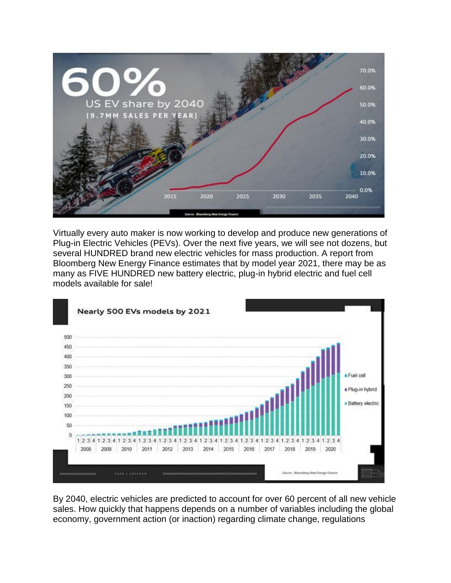

Virtually every auto maker is now working to develop and produce new generations of Plug-in Electric Vehicles (PEVs). Over the next five years, we will see not dozens, but several HUNDRED brand new electric vehicles for mass production. A report from Bloomberg New Energy Finance estimates that by model year 2021, there may be as many as FIVE HUNDRED new battery electric, plug-in hybrid electric and fuel cell models available for sale!



By 2040, electric vehicles are predicted to account for over 60 percent of all new vehicle sales. How quickly that happens depends on a number of variables including the global economy, government action (or inaction) regarding climate change, regulations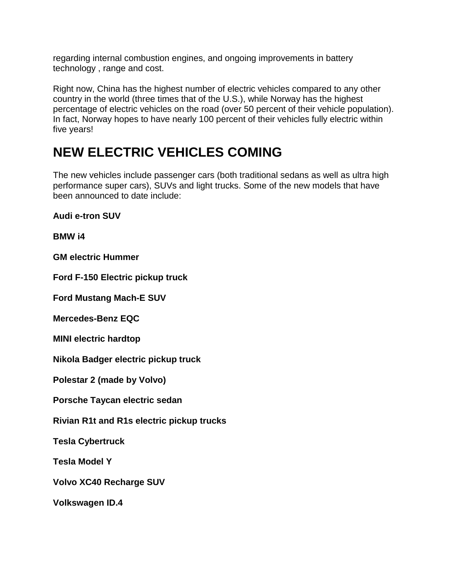regarding internal combustion engines, and ongoing improvements in battery technology , range and cost.

Right now, China has the highest number of electric vehicles compared to any other country in the world (three times that of the U.S.), while Norway has the highest percentage of electric vehicles on the road (over 50 percent of their vehicle population). In fact, Norway hopes to have nearly 100 percent of their vehicles fully electric within five years!

## **NEW ELECTRIC VEHICLES COMING**

The new vehicles include passenger cars (both traditional sedans as well as ultra high performance super cars), SUVs and light trucks. Some of the new models that have been announced to date include:

**Audi e-tron SUV**

**BMW i4**

**GM electric Hummer**

**Ford F-150 Electric pickup truck**

**Ford Mustang Mach-E SUV**

**Mercedes-Benz EQC**

**MINI electric hardtop**

**Nikola Badger electric pickup truck**

**Polestar 2 (made by Volvo)**

**Porsche Taycan electric sedan**

**Rivian R1t and R1s electric pickup trucks**

**Tesla Cybertruck**

**Tesla Model Y**

**Volvo XC40 Recharge SUV**

**Volkswagen ID.4**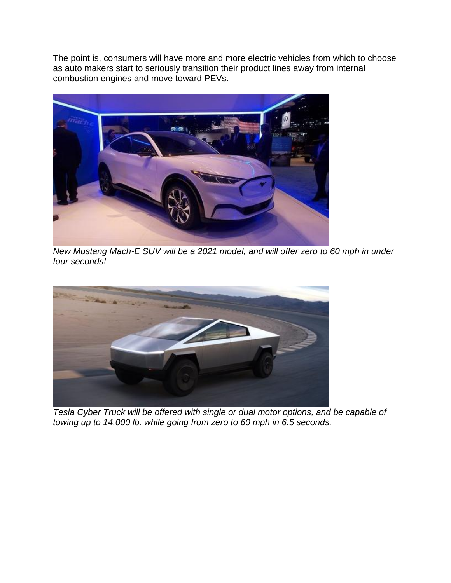The point is, consumers will have more and more electric vehicles from which to choose as auto makers start to seriously transition their product lines away from internal combustion engines and move toward PEVs.



*New Mustang Mach-E SUV will be a 2021 model, and will offer zero to 60 mph in under four seconds!* 



*Tesla Cyber Truck will be offered with single or dual motor options, and be capable of towing up to 14,000 lb. while going from zero to 60 mph in 6.5 seconds.*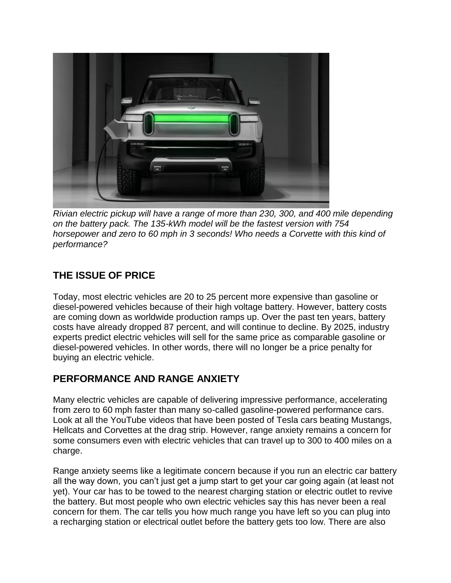

*Rivian electric pickup will have a range of more than 230, 300, and 400 mile depending on the battery pack. The 135-kWh model will be the fastest version with 754 horsepower and zero to 60 mph in 3 seconds! Who needs a Corvette with this kind of performance?* 

## **THE ISSUE OF PRICE**

Today, most electric vehicles are 20 to 25 percent more expensive than gasoline or diesel-powered vehicles because of their high voltage battery. However, battery costs are coming down as worldwide production ramps up. Over the past ten years, battery costs have already dropped 87 percent, and will continue to decline. By 2025, industry experts predict electric vehicles will sell for the same price as comparable gasoline or diesel-powered vehicles. In other words, there will no longer be a price penalty for buying an electric vehicle.

## **PERFORMANCE AND RANGE ANXIETY**

Many electric vehicles are capable of delivering impressive performance, accelerating from zero to 60 mph faster than many so-called gasoline-powered performance cars. Look at all the YouTube videos that have been posted of Tesla cars beating Mustangs, Hellcats and Corvettes at the drag strip. However, range anxiety remains a concern for some consumers even with electric vehicles that can travel up to 300 to 400 miles on a charge.

Range anxiety seems like a legitimate concern because if you run an electric car battery all the way down, you can't just get a jump start to get your car going again (at least not yet). Your car has to be towed to the nearest charging station or electric outlet to revive the battery. But most people who own electric vehicles say this has never been a real concern for them. The car tells you how much range you have left so you can plug into a recharging station or electrical outlet before the battery gets too low. There are also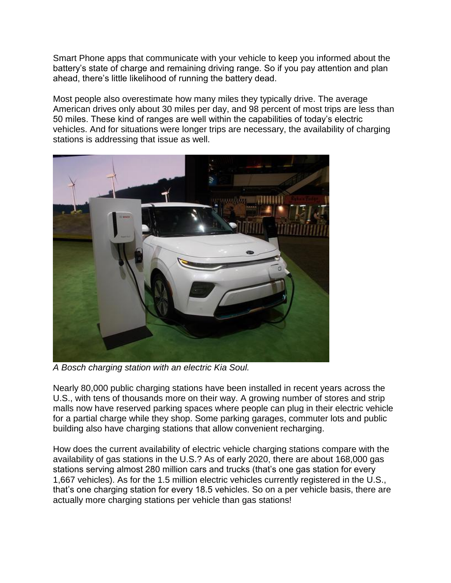Smart Phone apps that communicate with your vehicle to keep you informed about the battery's state of charge and remaining driving range. So if you pay attention and plan ahead, there's little likelihood of running the battery dead.

Most people also overestimate how many miles they typically drive. The average American drives only about 30 miles per day, and 98 percent of most trips are less than 50 miles. These kind of ranges are well within the capabilities of today's electric vehicles. And for situations were longer trips are necessary, the availability of charging stations is addressing that issue as well.



*A Bosch charging station with an electric Kia Soul.*

Nearly 80,000 public charging stations have been installed in recent years across the U.S., with tens of thousands more on their way. A growing number of stores and strip malls now have reserved parking spaces where people can plug in their electric vehicle for a partial charge while they shop. Some parking garages, commuter lots and public building also have charging stations that allow convenient recharging.

How does the current availability of electric vehicle charging stations compare with the availability of gas stations in the U.S.? As of early 2020, there are about 168,000 gas stations serving almost 280 million cars and trucks (that's one gas station for every 1,667 vehicles). As for the 1.5 million electric vehicles currently registered in the U.S., that's one charging station for every 18.5 vehicles. So on a per vehicle basis, there are actually more charging stations per vehicle than gas stations!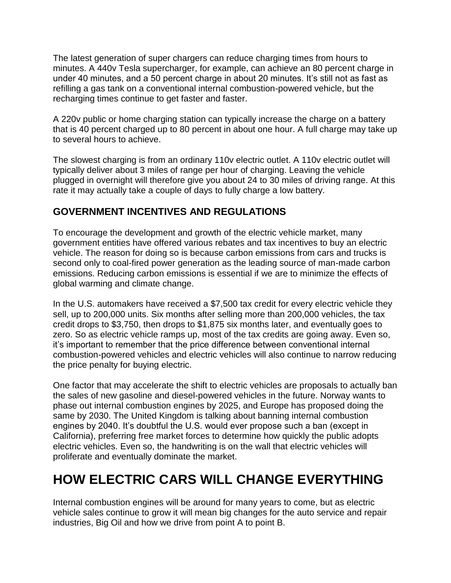The latest generation of super chargers can reduce charging times from hours to minutes. A 440v Tesla supercharger, for example, can achieve an 80 percent charge in under 40 minutes, and a 50 percent charge in about 20 minutes. It's still not as fast as refilling a gas tank on a conventional internal combustion-powered vehicle, but the recharging times continue to get faster and faster.

A 220v public or home charging station can typically increase the charge on a battery that is 40 percent charged up to 80 percent in about one hour. A full charge may take up to several hours to achieve.

The slowest charging is from an ordinary 110v electric outlet. A 110v electric outlet will typically deliver about 3 miles of range per hour of charging. Leaving the vehicle plugged in overnight will therefore give you about 24 to 30 miles of driving range. At this rate it may actually take a couple of days to fully charge a low battery.

## **GOVERNMENT INCENTIVES AND REGULATIONS**

To encourage the development and growth of the electric vehicle market, many government entities have offered various rebates and tax incentives to buy an electric vehicle. The reason for doing so is because carbon emissions from cars and trucks is second only to coal-fired power generation as the leading source of man-made carbon emissions. Reducing carbon emissions is essential if we are to minimize the effects of global warming and climate change.

In the U.S. automakers have received a \$7,500 tax credit for every electric vehicle they sell, up to 200,000 units. Six months after selling more than 200,000 vehicles, the tax credit drops to \$3,750, then drops to \$1,875 six months later, and eventually goes to zero. So as electric vehicle ramps up, most of the tax credits are going away. Even so, it's important to remember that the price difference between conventional internal combustion-powered vehicles and electric vehicles will also continue to narrow reducing the price penalty for buying electric.

One factor that may accelerate the shift to electric vehicles are proposals to actually ban the sales of new gasoline and diesel-powered vehicles in the future. Norway wants to phase out internal combustion engines by 2025, and Europe has proposed doing the same by 2030. The United Kingdom is talking about banning internal combustion engines by 2040. It's doubtful the U.S. would ever propose such a ban (except in California), preferring free market forces to determine how quickly the public adopts electric vehicles. Even so, the handwriting is on the wall that electric vehicles will proliferate and eventually dominate the market.

## **HOW ELECTRIC CARS WILL CHANGE EVERYTHING**

Internal combustion engines will be around for many years to come, but as electric vehicle sales continue to grow it will mean big changes for the auto service and repair industries, Big Oil and how we drive from point A to point B.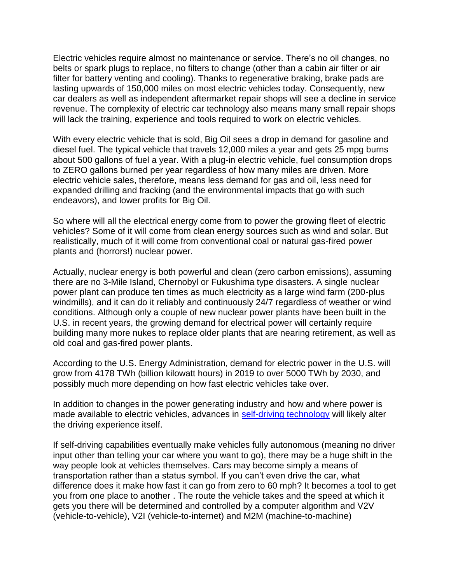Electric vehicles require almost no maintenance or service. There's no oil changes, no belts or spark plugs to replace, no filters to change (other than a cabin air filter or air filter for battery venting and cooling). Thanks to regenerative braking, brake pads are lasting upwards of 150,000 miles on most electric vehicles today. Consequently, new car dealers as well as independent aftermarket repair shops will see a decline in service revenue. The complexity of electric car technology also means many small repair shops will lack the training, experience and tools required to work on electric vehicles.

With every electric vehicle that is sold, Big Oil sees a drop in demand for gasoline and diesel fuel. The typical vehicle that travels 12,000 miles a year and gets 25 mpg burns about 500 gallons of fuel a year. With a plug-in electric vehicle, fuel consumption drops to ZERO gallons burned per year regardless of how many miles are driven. More electric vehicle sales, therefore, means less demand for gas and oil, less need for expanded drilling and fracking (and the environmental impacts that go with such endeavors), and lower profits for Big Oil.

So where will all the electrical energy come from to power the growing fleet of electric vehicles? Some of it will come from clean energy sources such as wind and solar. But realistically, much of it will come from conventional coal or natural gas-fired power plants and (horrors!) nuclear power.

Actually, nuclear energy is both powerful and clean (zero carbon emissions), assuming there are no 3-Mile Island, Chernobyl or Fukushima type disasters. A single nuclear power plant can produce ten times as much electricity as a large wind farm (200-plus windmills), and it can do it reliably and continuously 24/7 regardless of weather or wind conditions. Although only a couple of new nuclear power plants have been built in the U.S. in recent years, the growing demand for electrical power will certainly require building many more nukes to replace older plants that are nearing retirement, as well as old coal and gas-fired power plants.

According to the U.S. Energy Administration, demand for electric power in the U.S. will grow from 4178 TWh (billion kilowatt hours) in 2019 to over 5000 TWh by 2030, and possibly much more depending on how fast electric vehicles take over.

In addition to changes in the power generating industry and how and where power is made available to electric vehicles, advances in [self-driving technology](https://www.aa1car.com/blog/self_driving_cars.htm) will likely alter the driving experience itself.

If self-driving capabilities eventually make vehicles fully autonomous (meaning no driver input other than telling your car where you want to go), there may be a huge shift in the way people look at vehicles themselves. Cars may become simply a means of transportation rather than a status symbol. If you can't even drive the car, what difference does it make how fast it can go from zero to 60 mph? It becomes a tool to get you from one place to another . The route the vehicle takes and the speed at which it gets you there will be determined and controlled by a computer algorithm and V2V (vehicle-to-vehicle), V2I (vehicle-to-internet) and M2M (machine-to-machine)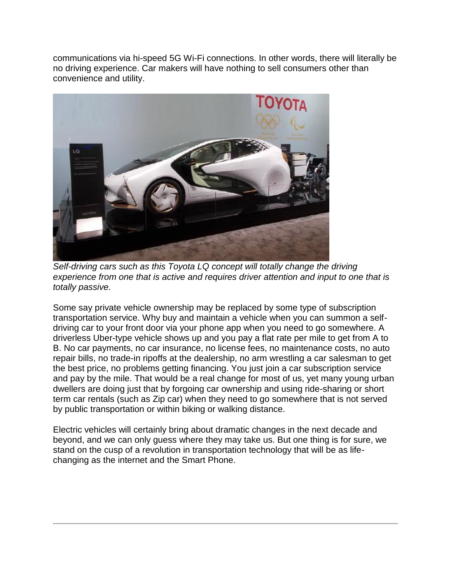communications via hi-speed 5G Wi-Fi connections. In other words, there will literally be no driving experience. Car makers will have nothing to sell consumers other than convenience and utility.



*Self-driving cars such as this Toyota LQ concept will totally change the driving experience from one that is active and requires driver attention and input to one that is totally passive.*

Some say private vehicle ownership may be replaced by some type of subscription transportation service. Why buy and maintain a vehicle when you can summon a selfdriving car to your front door via your phone app when you need to go somewhere. A driverless Uber-type vehicle shows up and you pay a flat rate per mile to get from A to B. No car payments, no car insurance, no license fees, no maintenance costs, no auto repair bills, no trade-in ripoffs at the dealership, no arm wrestling a car salesman to get the best price, no problems getting financing. You just join a car subscription service and pay by the mile. That would be a real change for most of us, yet many young urban dwellers are doing just that by forgoing car ownership and using ride-sharing or short term car rentals (such as Zip car) when they need to go somewhere that is not served by public transportation or within biking or walking distance.

Electric vehicles will certainly bring about dramatic changes in the next decade and beyond, and we can only guess where they may take us. But one thing is for sure, we stand on the cusp of a revolution in transportation technology that will be as lifechanging as the internet and the Smart Phone.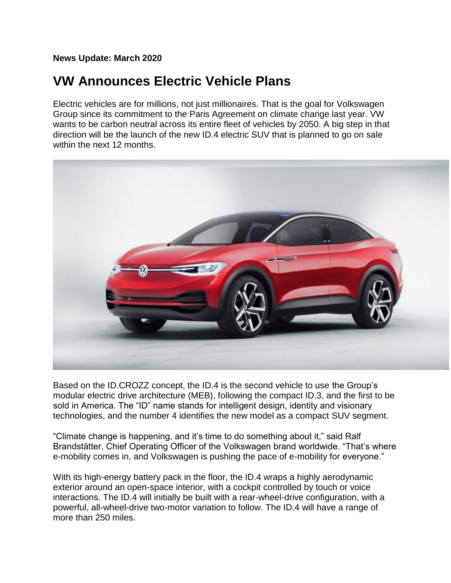**News Update: March 2020**

## **VW Announces Electric Vehicle Plans**

Electric vehicles are for millions, not just millionaires. That is the goal for Volkswagen Group since its commitment to the Paris Agreement on climate change last year. VW wants to be carbon neutral across its entire fleet of vehicles by 2050. A big step in that direction will be the launch of the new ID.4 electric SUV that is planned to go on sale within the next 12 months.



Based on the ID.CROZZ concept, the ID.4 is the second vehicle to use the Group's modular electric drive architecture (MEB), following the compact ID.3, and the first to be sold in America. The "ID" name stands for intelligent design, identity and visionary technologies, and the number 4 identifies the new model as a compact SUV segment.

"Climate change is happening, and it's time to do something about it," said Ralf Brandstätter, Chief Operating Officer of the Volkswagen brand worldwide. "That's where e-mobility comes in, and Volkswagen is pushing the pace of e-mobility for everyone."

With its high-energy battery pack in the floor, the ID.4 wraps a highly aerodynamic exterior around an open-space interior, with a cockpit controlled by touch or voice interactions. The ID.4 will initially be built with a rear-wheel-drive configuration, with a powerful, all-wheel-drive two-motor variation to follow. The ID.4 will have a range of more than 250 miles.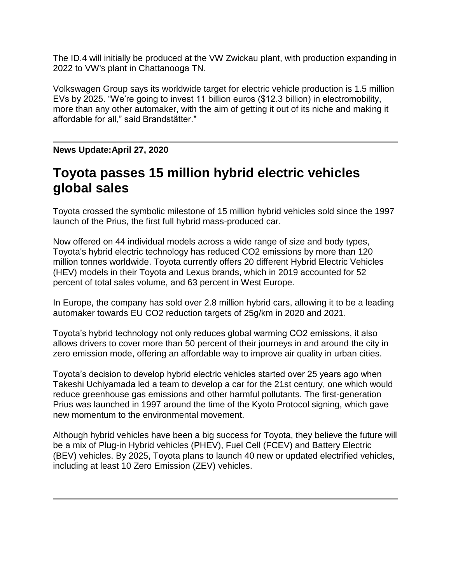The ID.4 will initially be produced at the VW Zwickau plant, with production expanding in 2022 to VW's plant in Chattanooga TN.

Volkswagen Group says its worldwide target for electric vehicle production is 1.5 million EVs by 2025. "We're going to invest 11 billion euros (\$12.3 billion) in electromobility, more than any other automaker, with the aim of getting it out of its niche and making it affordable for all," said Brandstätter."

## **News Update:April 27, 2020**

## **Toyota passes 15 million hybrid electric vehicles global sales**

Toyota crossed the symbolic milestone of 15 million hybrid vehicles sold since the 1997 launch of the Prius, the first full hybrid mass-produced car.

Now offered on 44 individual models across a wide range of size and body types, Toyota's hybrid electric technology has reduced CO2 emissions by more than 120 million tonnes worldwide. Toyota currently offers 20 different Hybrid Electric Vehicles (HEV) models in their Toyota and Lexus brands, which in 2019 accounted for 52 percent of total sales volume, and 63 percent in West Europe.

In Europe, the company has sold over 2.8 million hybrid cars, allowing it to be a leading automaker towards EU CO2 reduction targets of 25g/km in 2020 and 2021.

Toyota's hybrid technology not only reduces global warming CO2 emissions, it also allows drivers to cover more than 50 percent of their journeys in and around the city in zero emission mode, offering an affordable way to improve air quality in urban cities.

Toyota's decision to develop hybrid electric vehicles started over 25 years ago when Takeshi Uchiyamada led a team to develop a car for the 21st century, one which would reduce greenhouse gas emissions and other harmful pollutants. The first-generation Prius was launched in 1997 around the time of the Kyoto Protocol signing, which gave new momentum to the environmental movement.

Although hybrid vehicles have been a big success for Toyota, they believe the future will be a mix of Plug-in Hybrid vehicles (PHEV), Fuel Cell (FCEV) and Battery Electric (BEV) vehicles. By 2025, Toyota plans to launch 40 new or updated electrified vehicles, including at least 10 Zero Emission (ZEV) vehicles.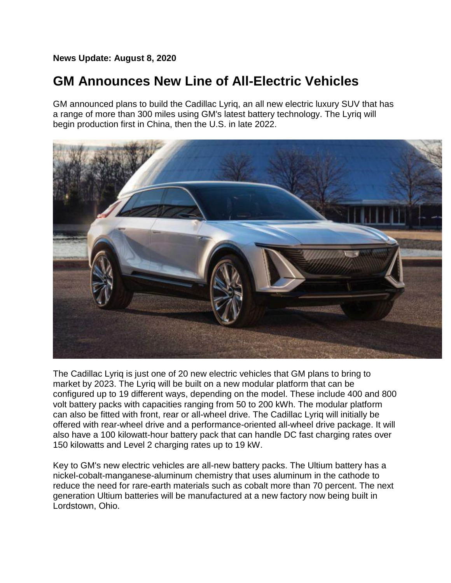**News Update: August 8, 2020**

## **GM Announces New Line of All-Electric Vehicles**

GM announced plans to build the Cadillac Lyriq, an all new electric luxury SUV that has a range of more than 300 miles using GM's latest battery technology. The Lyriq will begin production first in China, then the U.S. in late 2022.



The Cadillac Lyriq is just one of 20 new electric vehicles that GM plans to bring to market by 2023. The Lyriq will be built on a new modular platform that can be configured up to 19 different ways, depending on the model. These include 400 and 800 volt battery packs with capacities ranging from 50 to 200 kWh. The modular platform can also be fitted with front, rear or all-wheel drive. The Cadillac Lyriq will initially be offered with rear-wheel drive and a performance-oriented all-wheel drive package. It will also have a 100 kilowatt-hour battery pack that can handle DC fast charging rates over 150 kilowatts and Level 2 charging rates up to 19 kW.

Key to GM's new electric vehicles are all-new battery packs. The Ultium battery has a nickel-cobalt-manganese-aluminum chemistry that uses aluminum in the cathode to reduce the need for rare-earth materials such as cobalt more than 70 percent. The next generation Ultium batteries will be manufactured at a new factory now being built in Lordstown, Ohio.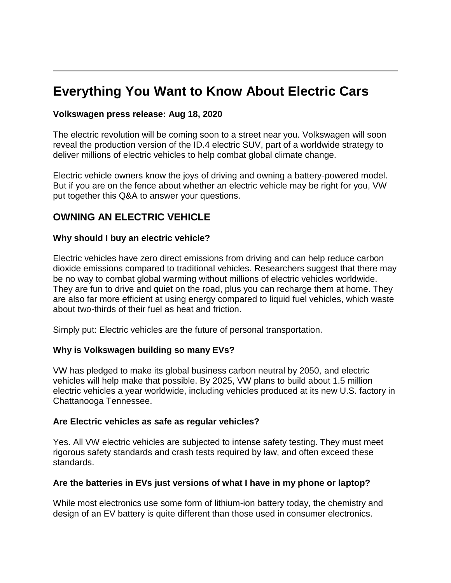## **Everything You Want to Know About Electric Cars**

### **Volkswagen press release: Aug 18, 2020**

The electric revolution will be coming soon to a street near you. Volkswagen will soon reveal the production version of the ID.4 electric SUV, part of a worldwide strategy to deliver millions of electric vehicles to help combat global climate change.

Electric vehicle owners know the joys of driving and owning a battery-powered model. But if you are on the fence about whether an electric vehicle may be right for you, VW put together this Q&A to answer your questions.

## **OWNING AN ELECTRIC VEHICLE**

#### **Why should I buy an electric vehicle?**

Electric vehicles have zero direct emissions from driving and can help reduce carbon dioxide emissions compared to traditional vehicles. Researchers suggest that there may be no way to combat global warming without millions of electric vehicles worldwide. They are fun to drive and quiet on the road, plus you can recharge them at home. They are also far more efficient at using energy compared to liquid fuel vehicles, which waste about two-thirds of their fuel as heat and friction.

Simply put: Electric vehicles are the future of personal transportation.

### **Why is Volkswagen building so many EVs?**

VW has pledged to make its global business carbon neutral by 2050, and electric vehicles will help make that possible. By 2025, VW plans to build about 1.5 million electric vehicles a year worldwide, including vehicles produced at its new U.S. factory in Chattanooga Tennessee.

#### **Are Electric vehicles as safe as regular vehicles?**

Yes. All VW electric vehicles are subjected to intense safety testing. They must meet rigorous safety standards and crash tests required by law, and often exceed these standards.

### **Are the batteries in EVs just versions of what I have in my phone or laptop?**

While most electronics use some form of lithium-ion battery today, the chemistry and design of an EV battery is quite different than those used in consumer electronics.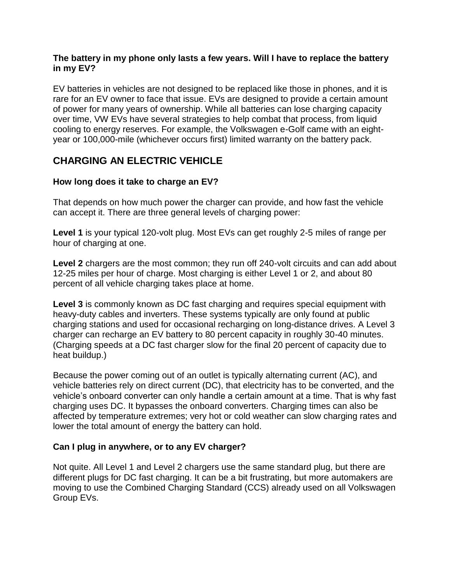### **The battery in my phone only lasts a few years. Will I have to replace the battery in my EV?**

EV batteries in vehicles are not designed to be replaced like those in phones, and it is rare for an EV owner to face that issue. EVs are designed to provide a certain amount of power for many years of ownership. While all batteries can lose charging capacity over time, VW EVs have several strategies to help combat that process, from liquid cooling to energy reserves. For example, the Volkswagen e-Golf came with an eightyear or 100,000-mile (whichever occurs first) limited warranty on the battery pack.

## **CHARGING AN ELECTRIC VEHICLE**

## **How long does it take to charge an EV?**

That depends on how much power the charger can provide, and how fast the vehicle can accept it. There are three general levels of charging power:

**Level 1** is your typical 120-volt plug. Most EVs can get roughly 2-5 miles of range per hour of charging at one.

Level 2 chargers are the most common; they run off 240-volt circuits and can add about 12-25 miles per hour of charge. Most charging is either Level 1 or 2, and about 80 percent of all vehicle charging takes place at home.

**Level 3** is commonly known as DC fast charging and requires special equipment with heavy-duty cables and inverters. These systems typically are only found at public charging stations and used for occasional recharging on long-distance drives. A Level 3 charger can recharge an EV battery to 80 percent capacity in roughly 30-40 minutes. (Charging speeds at a DC fast charger slow for the final 20 percent of capacity due to heat buildup.)

Because the power coming out of an outlet is typically alternating current (AC), and vehicle batteries rely on direct current (DC), that electricity has to be converted, and the vehicle's onboard converter can only handle a certain amount at a time. That is why fast charging uses DC. It bypasses the onboard converters. Charging times can also be affected by temperature extremes; very hot or cold weather can slow charging rates and lower the total amount of energy the battery can hold.

## **Can I plug in anywhere, or to any EV charger?**

Not quite. All Level 1 and Level 2 chargers use the same standard plug, but there are different plugs for DC fast charging. It can be a bit frustrating, but more automakers are moving to use the Combined Charging Standard (CCS) already used on all Volkswagen Group EVs.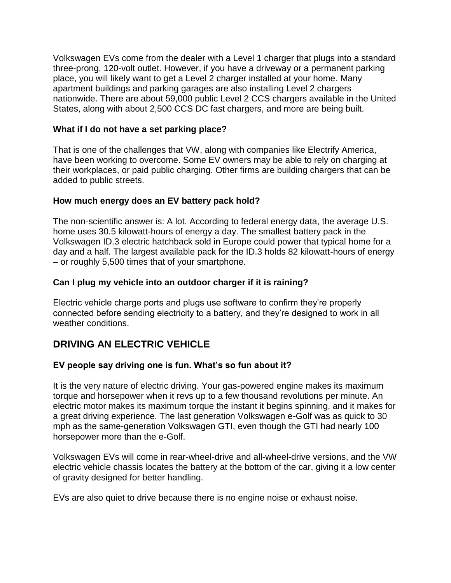Volkswagen EVs come from the dealer with a Level 1 charger that plugs into a standard three-prong, 120-volt outlet. However, if you have a driveway or a permanent parking place, you will likely want to get a Level 2 charger installed at your home. Many apartment buildings and parking garages are also installing Level 2 chargers nationwide. There are about 59,000 public Level 2 CCS chargers available in the United States, along with about 2,500 CCS DC fast chargers, and more are being built.

## **What if I do not have a set parking place?**

That is one of the challenges that VW, along with companies like Electrify America, have been working to overcome. Some EV owners may be able to rely on charging at their workplaces, or paid public charging. Other firms are building chargers that can be added to public streets.

## **How much energy does an EV battery pack hold?**

The non-scientific answer is: A lot. According to federal energy data, the average U.S. home uses 30.5 kilowatt-hours of energy a day. The smallest battery pack in the Volkswagen ID.3 electric hatchback sold in Europe could power that typical home for a day and a half. The largest available pack for the ID.3 holds 82 kilowatt-hours of energy – or roughly 5,500 times that of your smartphone.

## **Can I plug my vehicle into an outdoor charger if it is raining?**

Electric vehicle charge ports and plugs use software to confirm they're properly connected before sending electricity to a battery, and they're designed to work in all weather conditions.

## **DRIVING AN ELECTRIC VEHICLE**

## **EV people say driving one is fun. What's so fun about it?**

It is the very nature of electric driving. Your gas-powered engine makes its maximum torque and horsepower when it revs up to a few thousand revolutions per minute. An electric motor makes its maximum torque the instant it begins spinning, and it makes for a great driving experience. The last generation Volkswagen e-Golf was as quick to 30 mph as the same-generation Volkswagen GTI, even though the GTI had nearly 100 horsepower more than the e-Golf.

Volkswagen EVs will come in rear-wheel-drive and all-wheel-drive versions, and the VW electric vehicle chassis locates the battery at the bottom of the car, giving it a low center of gravity designed for better handling.

EVs are also quiet to drive because there is no engine noise or exhaust noise.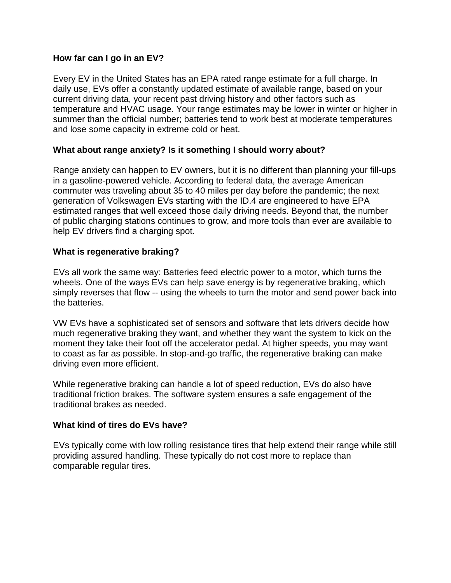### **How far can I go in an EV?**

Every EV in the United States has an EPA rated range estimate for a full charge. In daily use, EVs offer a constantly updated estimate of available range, based on your current driving data, your recent past driving history and other factors such as temperature and HVAC usage. Your range estimates may be lower in winter or higher in summer than the official number; batteries tend to work best at moderate temperatures and lose some capacity in extreme cold or heat.

### **What about range anxiety? Is it something I should worry about?**

Range anxiety can happen to EV owners, but it is no different than planning your fill-ups in a gasoline-powered vehicle. According to federal data, the average American commuter was traveling about 35 to 40 miles per day before the pandemic; the next generation of Volkswagen EVs starting with the ID.4 are engineered to have EPA estimated ranges that well exceed those daily driving needs. Beyond that, the number of public charging stations continues to grow, and more tools than ever are available to help EV drivers find a charging spot.

### **What is regenerative braking?**

EVs all work the same way: Batteries feed electric power to a motor, which turns the wheels. One of the ways EVs can help save energy is by regenerative braking, which simply reverses that flow -- using the wheels to turn the motor and send power back into the batteries.

VW EVs have a sophisticated set of sensors and software that lets drivers decide how much regenerative braking they want, and whether they want the system to kick on the moment they take their foot off the accelerator pedal. At higher speeds, you may want to coast as far as possible. In stop-and-go traffic, the regenerative braking can make driving even more efficient.

While regenerative braking can handle a lot of speed reduction, EVs do also have traditional friction brakes. The software system ensures a safe engagement of the traditional brakes as needed.

### **What kind of tires do EVs have?**

EVs typically come with low rolling resistance tires that help extend their range while still providing assured handling. These typically do not cost more to replace than comparable regular tires.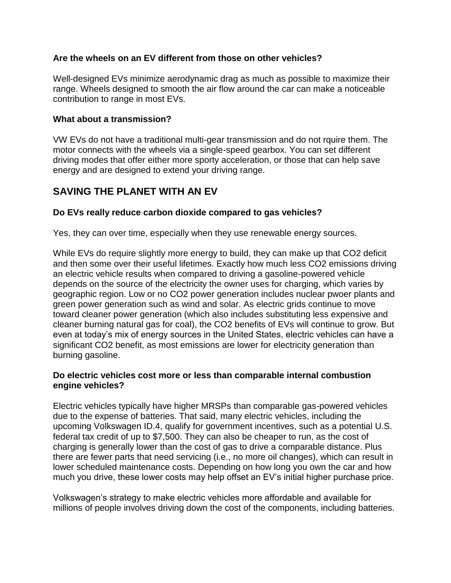## **Are the wheels on an EV different from those on other vehicles?**

Well-designed EVs minimize aerodynamic drag as much as possible to maximize their range. Wheels designed to smooth the air flow around the car can make a noticeable contribution to range in most EVs.

### **What about a transmission?**

VW EVs do not have a traditional multi-gear transmission and do not rquire them. The motor connects with the wheels via a single-speed gearbox. You can set different driving modes that offer either more sporty acceleration, or those that can help save energy and are designed to extend your driving range.

## **SAVING THE PLANET WITH AN EV**

## **Do EVs really reduce carbon dioxide compared to gas vehicles?**

Yes, they can over time, especially when they use renewable energy sources.

While EVs do require slightly more energy to build, they can make up that CO2 deficit and then some over their useful lifetimes. Exactly how much less CO2 emissions driving an electric vehicle results when compared to driving a gasoline-powered vehicle depends on the source of the electricity the owner uses for charging, which varies by geographic region. Low or no CO2 power generation includes nuclear pwoer plants and green power generation such as wind and solar. As electric grids continue to move toward cleaner power generation (which also includes substituting less expensive and cleaner burning natural gas for coal), the CO2 benefits of EVs will continue to grow. But even at today's mix of energy sources in the United States, electric vehicles can have a significant CO2 benefit, as most emissions are lower for electricity generation than burning gasoline.

### **Do electric vehicles cost more or less than comparable internal combustion engine vehicles?**

Electric vehicles typically have higher MRSPs than comparable gas-powered vehicles due to the expense of batteries. That said, many electric vehicles, including the upcoming Volkswagen ID.4, qualify for government incentives, such as a potential U.S. federal tax credit of up to \$7,500. They can also be cheaper to run, as the cost of charging is generally lower than the cost of gas to drive a comparable distance. Plus there are fewer parts that need servicing (i.e., no more oil changes), which can result in lower scheduled maintenance costs. Depending on how long you own the car and how much you drive, these lower costs may help offset an EV's initial higher purchase price.

Volkswagen's strategy to make electric vehicles more affordable and available for millions of people involves driving down the cost of the components, including batteries.